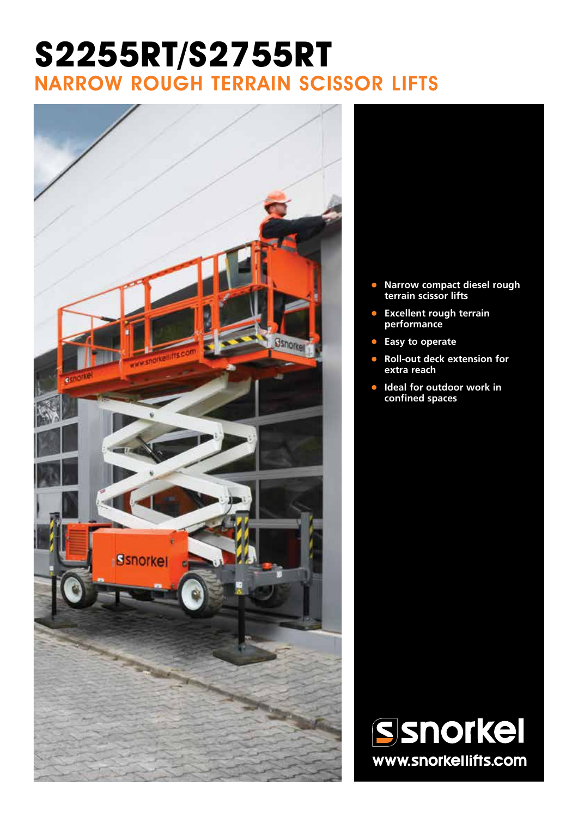# **S2255RT/S2755RT** NARROW ROUGH TERRAIN SCISSOR LIFTS



- **• Narrow compact diesel rough terrain scissor lifts**
- **• Excellent rough terrain performance**
- **• Easy to operate**
- **• Roll-out deck extension for extra reach**
- **• Ideal for outdoor work in confined spaces**